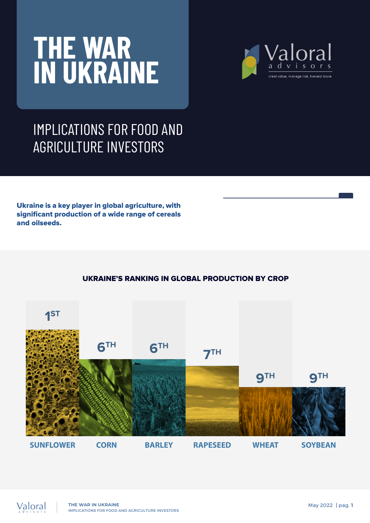# **THE WAR IN UKRAINE**



#### IMPLICATIONS FOR FOOD AND AGRICULTURE INVESTORS

Ukraine is a key player in global agriculture, with significant production of a wide range of cereals and oilseeds.

#### UKRAINE'S RANKING IN GLOBAL PRODUCTION BY CROP



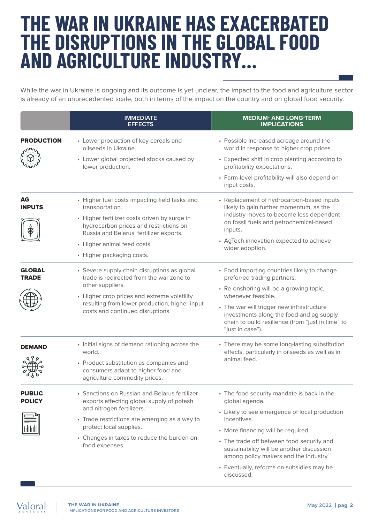## **THE WAR IN UKRAINE HAS EXACERBATED THE DISRUPTIONS IN THE GLOBAL FOOD AND AGRICULTURE INDUSTRY…**

While the war in Ukraine is ongoing and its outcome is yet unclear, the impact to the food and agriculture sector is already of an unprecedented scale, both in terms of the impact on the country and on global food security.

|                                | <b>IMMEDIATE</b><br><b>EFFECTS</b>                                                                                                                                                                                                                                  | <b>MEDIUM- AND LONG-TERM</b><br><b>IMPLICATIONS</b>                                                                                                                                                                                                                                                                                                              |
|--------------------------------|---------------------------------------------------------------------------------------------------------------------------------------------------------------------------------------------------------------------------------------------------------------------|------------------------------------------------------------------------------------------------------------------------------------------------------------------------------------------------------------------------------------------------------------------------------------------------------------------------------------------------------------------|
| <b>PRODUCTION</b>              | • Lower production of key cereals and<br>oilseeds in Ukraine.<br>• Lower global projected stocks caused by<br>lower production.                                                                                                                                     | • Possible increased acreage around the<br>world in response to higher crop prices.<br>• Expected shift in crop planting according to<br>profitability expectations.<br>• Farm-level profitability will also depend on<br>input costs.                                                                                                                           |
| <b>AG</b><br><b>INPUTS</b>     | • Higher fuel costs impacting field tasks and<br>transportation.<br>• Higher fertilizer costs driven by surge in<br>hydrocarbon prices and restrictions on<br>Russia and Belarus' fertilizer exports.<br>• Higher animal feed costs.<br>• Higher packaging costs.   | • Replacement of hydrocarbon-based inputs<br>likely to gain further momentum, as the<br>industry moves to become less dependent<br>on fossil fuels and petrochemical-based<br>inputs.<br>• AgTech innovation expected to achieve<br>wider adoption.                                                                                                              |
| <b>GLOBAL</b><br><b>TRADE</b>  | • Severe supply chain disruptions as global<br>trade is redirected from the war zone to<br>other suppliers.<br>• Higher crop prices and extreme volatility<br>resulting from lower production, higher input<br>costs and continued disruptions.                     | • Food importing countries likely to change<br>preferred trading partners.<br>• Re-onshoring will be a growing topic,<br>whenever feasible.<br>• The war will trigger new infrastructure<br>investments along the food and ag supply<br>chain to build resilience (from "just in time" to<br>"just in case").                                                    |
| DEMAND                         | • Initial signs of demand rationing across the<br>world.<br>• Product substitution as companies and<br>consumers adapt to higher food and<br>agriculture commodity prices.                                                                                          | • There may be some long-lasting substitution<br>effects, particularly in oilseeds as well as in<br>animal feed.                                                                                                                                                                                                                                                 |
| <b>PUBLIC</b><br><b>POLICY</b> | • Sanctions on Russian and Belarus fertilizer<br>exports affecting global supply of potash<br>and nitrogen fertilizers.<br>• Trade restrictions are emerging as a way to<br>protect local supplies.<br>• Changes in taxes to reduce the burden on<br>food expenses. | • The food security mandate is back in the<br>global agenda.<br>• Likely to see emergence of local production<br>incentives.<br>• More financing will be required.<br>• The trade off between food security and<br>sustainability will be another discussion<br>among policy makers and the industry.<br>• Eventually, reforms on subsidies may be<br>discussed. |

Valoral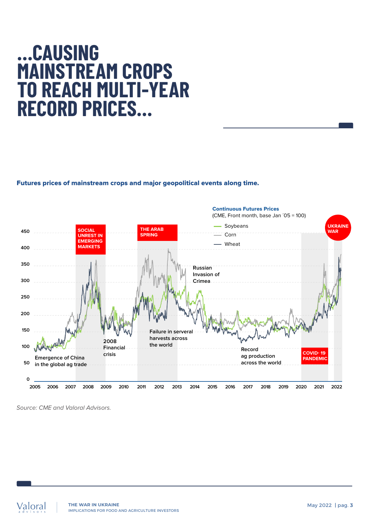## **…CAUSING MAINSTREAM CROPS TO REACH MULTI-YEAR RECORD PRICES…**

Futures prices of mainstream crops and major geopolitical events along time.



Source: CME and Valoral Advisors.

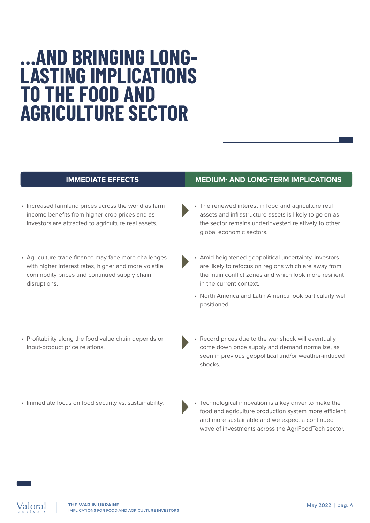### **…AND BRINGING LONG-LASTING IMPLICATIONS TO THE FOOD AND AGRICULTURE SECTOR**

- Increased farmland prices across the world as farm income benefits from higher crop prices and as investors are attracted to agriculture real assets.
- Agriculture trade finance may face more challenges with higher interest rates, higher and more volatile commodity prices and continued supply chain disruptions.
- Profitability along the food value chain depends on input-product price relations.
- Immediate focus on food security vs. sustainability.

#### **IMMEDIATE EFFECTS MEDIUM- AND LONG-TERM IMPLICATIONS**

- The renewed interest in food and agriculture real assets and infrastructure assets is likely to go on as the sector remains underinvested relatively to other global economic sectors.
- Amid heightened geopolitical uncertainty, investors are likely to refocus on regions which are away from the main conflict zones and which look more resilient in the current context.
- North America and Latin America look particularly well positioned.
- Record prices due to the war shock will eventually come down once supply and demand normalize, as seen in previous geopolitical and/or weather-induced shocks.
- Technological innovation is a key driver to make the food and agriculture production system more efficient and more sustainable and we expect a continued wave of investments across the AgriFoodTech sector.